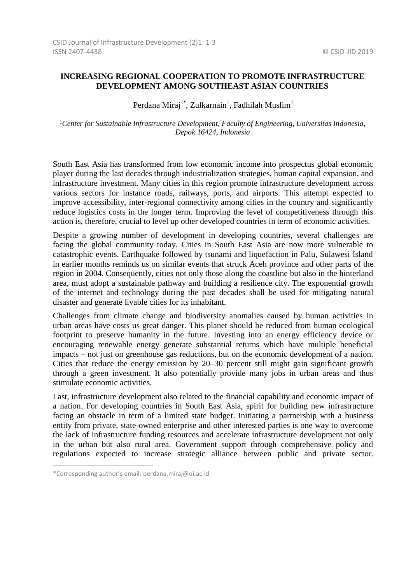## **INCREASING REGIONAL COOPERATION TO PROMOTE INFRASTRUCTURE DEVELOPMENT AMONG SOUTHEAST ASIAN COUNTRIES**

Perdana Miraj<sup>1\*</sup>, Zulkarnain<sup>1</sup>, Fadhilah Muslim<sup>1</sup>

<sup>1</sup>*Center for Sustainable Infrastructure Development, Faculty of Engineering, Universitas Indonesia, Depok 16424, Indonesia*

South East Asia has transformed from low economic income into prospectus global economic player during the last decades through industrialization strategies, human capital expansion, and infrastructure investment. Many cities in this region promote infrastructure development across various sectors for instance roads, railways, ports, and airports. This attempt expected to improve accessibility, inter-regional connectivity among cities in the country and significantly reduce logistics costs in the longer term. Improving the level of competitiveness through this action is, therefore, crucial to level up other developed countries in term of economic activities.

Despite a growing number of development in developing countries, several challenges are facing the global community today. Cities in South East Asia are now more vulnerable to catastrophic events. Earthquake followed by tsunami and liquefaction in Palu, Sulawesi Island in earlier months reminds us on similar events that struck Aceh province and other parts of the region in 2004. Consequently, cities not only those along the coastline but also in the hinterland area, must adopt a sustainable pathway and building a resilience city. The exponential growth of the internet and technology during the past decades shall be used for mitigating natural disaster and generate livable cities for its inhabitant.

Challenges from climate change and biodiversity anomalies caused by human activities in urban areas have costs us great danger. This planet should be reduced from human ecological footprint to preserve humanity in the future. Investing into an energy efficiency device or encouraging renewable energy generate substantial returns which have multiple beneficial impacts – not just on greenhouse gas reductions, but on the economic development of a nation. Cities that reduce the energy emission by 20–30 percent still might gain significant growth through a green investment. It also potentially provide many jobs in urban areas and thus stimulate economic activities.

Last, infrastructure development also related to the financial capability and economic impact of a nation. For developing countries in South East Asia, spirit for building new infrastructure facing an obstacle in term of a limited state budget. Initiating a partnership with a business entity from private, state-owned enterprise and other interested parties is one way to overcome the lack of infrastructure funding resources and accelerate infrastructure development not only in the urban but also rural area. Government support through comprehensive policy and regulations expected to increase strategic alliance between public and private sector.

l

<sup>\*</sup>Corresponding author's email: perdana.miraj@ui.ac.id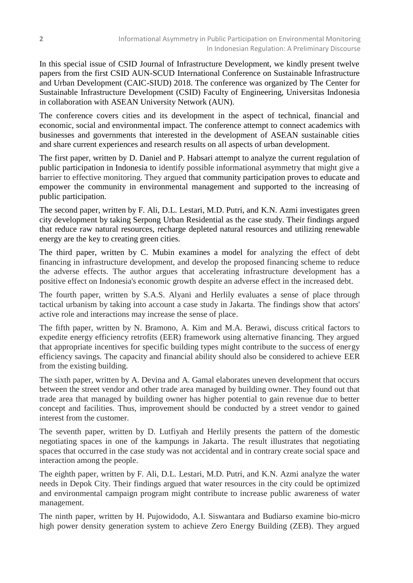In this special issue of CSID Journal of Infrastructure Development, we kindly present twelve papers from the first CSID AUN-SCUD International Conference on Sustainable Infrastructure and Urban Development (CAIC-SIUD) 2018. The conference was organized by The Center for Sustainable Infrastructure Development (CSID) Faculty of Engineering, Universitas Indonesia in collaboration with ASEAN University Network (AUN).

The conference covers cities and its development in the aspect of technical, financial and economic, social and environmental impact. The conference attempt to connect academics with businesses and governments that interested in the development of ASEAN sustainable cities and share current experiences and research results on all aspects of urban development.

The first paper, written by D. Daniel and P. Habsari attempt to analyze the current regulation of public participation in Indonesia to identify possible informational asymmetry that might give a barrier to effective monitoring. They argued that community participation proves to educate and empower the community in environmental management and supported to the increasing of public participation.

The second paper, written by F. Ali, D.L. Lestari, M.D. Putri, and K.N. Azmi investigates green city development by taking Serpong Urban Residential as the case study. Their findings argued that reduce raw natural resources, recharge depleted natural resources and utilizing renewable energy are the key to creating green cities.

The third paper, written by C. Mubin examines a model for analyzing the effect of debt financing in infrastructure development, and develop the proposed financing scheme to reduce the adverse effects. The author argues that accelerating infrastructure development has a positive effect on Indonesia's economic growth despite an adverse effect in the increased debt.

The fourth paper, written by S.A.S. Alyani and Herlily evaluates a sense of place through tactical urbanism by taking into account a case study in Jakarta. The findings show that actors' active role and interactions may increase the sense of place.

The fifth paper, written by N. Bramono, A. Kim and M.A. Berawi, discuss critical factors to expedite energy efficiency retrofits (EER) framework using alternative financing. They argued that appropriate incentives for specific building types might contribute to the success of energy efficiency savings. The capacity and financial ability should also be considered to achieve EER from the existing building.

The sixth paper, written by A. Devina and A. Gamal elaborates uneven development that occurs between the street vendor and other trade area managed by building owner. They found out that trade area that managed by building owner has higher potential to gain revenue due to better concept and facilities. Thus, improvement should be conducted by a street vendor to gained interest from the customer.

The seventh paper, written by D. Lutfiyah and Herlily presents the pattern of the domestic negotiating spaces in one of the kampungs in Jakarta. The result illustrates that negotiating spaces that occurred in the case study was not accidental and in contrary create social space and interaction among the people.

The eighth paper, written by F. Ali, D.L. Lestari, M.D. Putri, and K.N. Azmi analyze the water needs in Depok City. Their findings argued that water resources in the city could be optimized and environmental campaign program might contribute to increase public awareness of water management.

The ninth paper, written by H. Pujowidodo, A.I. Siswantara and Budiarso examine bio-micro high power density generation system to achieve Zero Energy Building (ZEB). They argued